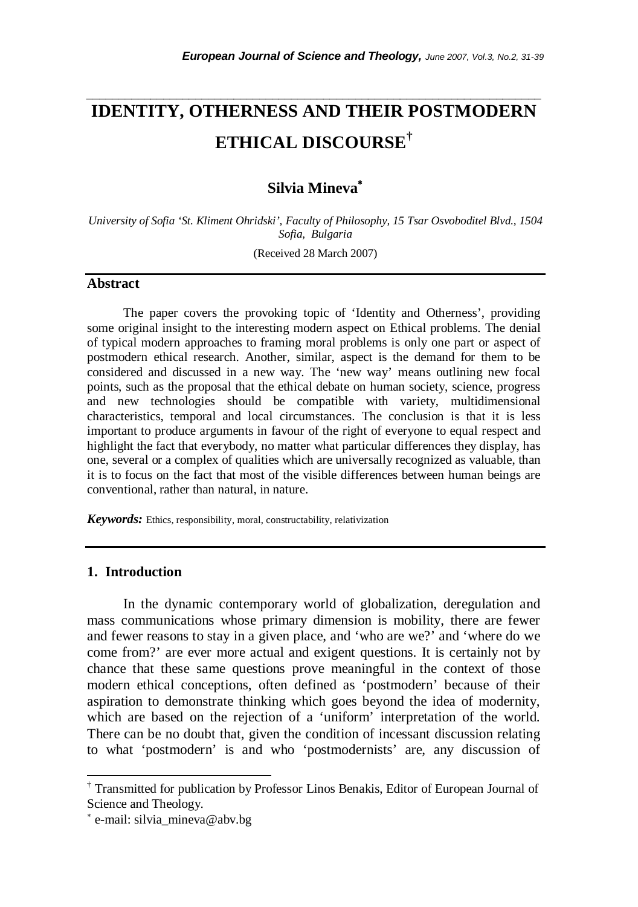# **IDENTITY, OTHERNESS AND THEIR POSTMODERN ETHICAL DISCOURSE†**

*\_\_\_\_\_\_\_\_\_\_\_\_\_\_\_\_\_\_\_\_\_\_\_\_\_\_\_\_\_\_\_\_\_\_\_\_\_\_\_\_\_\_\_\_\_\_\_\_\_\_\_\_\_\_\_\_\_\_\_\_\_\_\_\_\_\_\_\_\_\_\_* 

# **Silvia Mineva**<sup>∗</sup>

*University of Sofia 'St. Kliment Ohridski', Faculty of Philosophy, 15 Tsar Osvoboditel Blvd., 1504 Sofia, Bulgaria* 

(Received 28 March 2007)

#### **Abstract**

The paper covers the provoking topic of 'Identity and Otherness', providing some original insight to the interesting modern aspect on Ethical problems. The denial of typical modern approaches to framing moral problems is only one part or aspect of postmodern ethical research. Another, similar, aspect is the demand for them to be considered and discussed in a new way. The 'new way' means outlining new focal points, such as the proposal that the ethical debate on human society, science, progress and new technologies should be compatible with variety, multidimensional characteristics, temporal and local circumstances. The conclusion is that it is less important to produce arguments in favour of the right of everyone to equal respect and highlight the fact that everybody, no matter what particular differences they display, has one, several or a complex of qualities which are universally recognized as valuable, than it is to focus on the fact that most of the visible differences between human beings are conventional, rather than natural, in nature.

*Keywords:* Ethics, responsibility, moral, constructability, relativization

# **1. Introduction**

-

In the dynamic contemporary world of globalization, deregulation and mass communications whose primary dimension is mobility, there are fewer and fewer reasons to stay in a given place, and 'who are we?' and 'where do we come from?' are ever more actual and exigent questions. It is certainly not by chance that these same questions prove meaningful in the context of those modern ethical conceptions, often defined as 'postmodern' because of their aspiration to demonstrate thinking which goes beyond the idea of modernity, which are based on the rejection of a 'uniform' interpretation of the world. There can be no doubt that, given the condition of incessant discussion relating to what 'postmodern' is and who 'postmodernists' are, any discussion of

<sup>†</sup> Transmitted for publication by Professor Linos Benakis, Editor of European Journal of Science and Theology.

<sup>∗</sup> e-mail: silvia\_mineva@abv.bg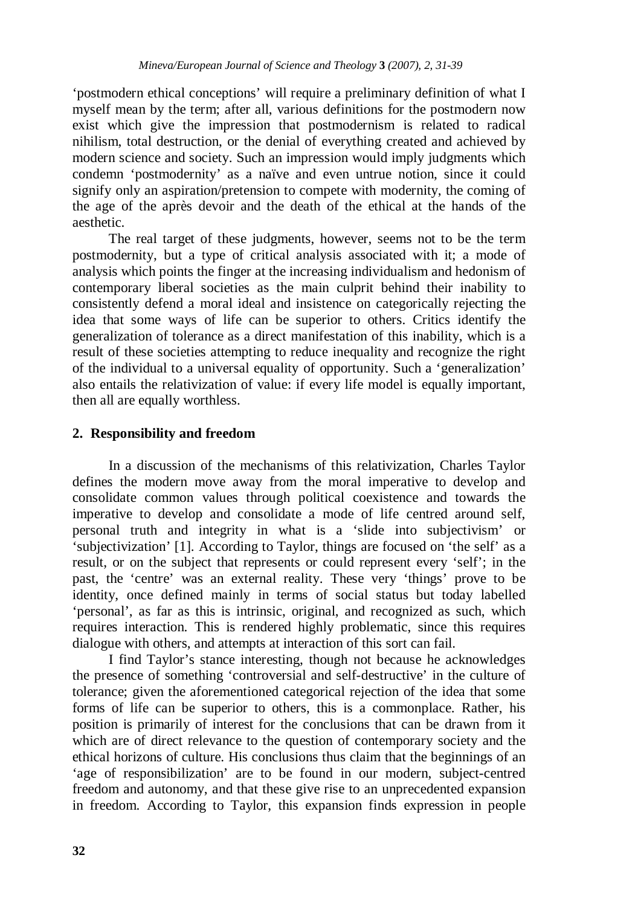'postmodern ethical conceptions' will require a preliminary definition of what I myself mean by the term; after all, various definitions for the postmodern now exist which give the impression that postmodernism is related to radical nihilism, total destruction, or the denial of everything created and achieved by modern science and society. Such an impression would imply judgments which condemn 'postmodernity' as a naïve and even untrue notion, since it could signify only an aspiration/pretension to compete with modernity, the coming of the age of the après devoir and the death of the ethical at the hands of the aesthetic.

The real target of these judgments, however, seems not to be the term postmodernity, but a type of critical analysis associated with it; a mode of analysis which points the finger at the increasing individualism and hedonism of contemporary liberal societies as the main culprit behind their inability to consistently defend a moral ideal and insistence on categorically rejecting the idea that some ways of life can be superior to others. Critics identify the generalization of tolerance as a direct manifestation of this inability, which is a result of these societies attempting to reduce inequality and recognize the right of the individual to a universal equality of opportunity. Such a 'generalization' also entails the relativization of value: if every life model is equally important, then all are equally worthless.

# **2. Responsibility and freedom**

In a discussion of the mechanisms of this relativization, Charles Taylor defines the modern move away from the moral imperative to develop and consolidate common values through political coexistence and towards the imperative to develop and consolidate a mode of life centred around self, personal truth and integrity in what is a 'slide into subjectivism' or 'subjectivization' [1]. According to Taylor, things are focused on 'the self' as a result, or on the subject that represents or could represent every 'self'; in the past, the 'centre' was an external reality. These very 'things' prove to be identity, once defined mainly in terms of social status but today labelled 'personal', as far as this is intrinsic, original, and recognized as such, which requires interaction. This is rendered highly problematic, since this requires dialogue with others, and attempts at interaction of this sort can fail.

I find Taylor's stance interesting, though not because he acknowledges the presence of something 'controversial and self-destructive' in the culture of tolerance; given the aforementioned categorical rejection of the idea that some forms of life can be superior to others, this is a commonplace. Rather, his position is primarily of interest for the conclusions that can be drawn from it which are of direct relevance to the question of contemporary society and the ethical horizons of culture. His conclusions thus claim that the beginnings of an 'age of responsibilization' are to be found in our modern, subject-centred freedom and autonomy, and that these give rise to an unprecedented expansion in freedom. According to Taylor, this expansion finds expression in people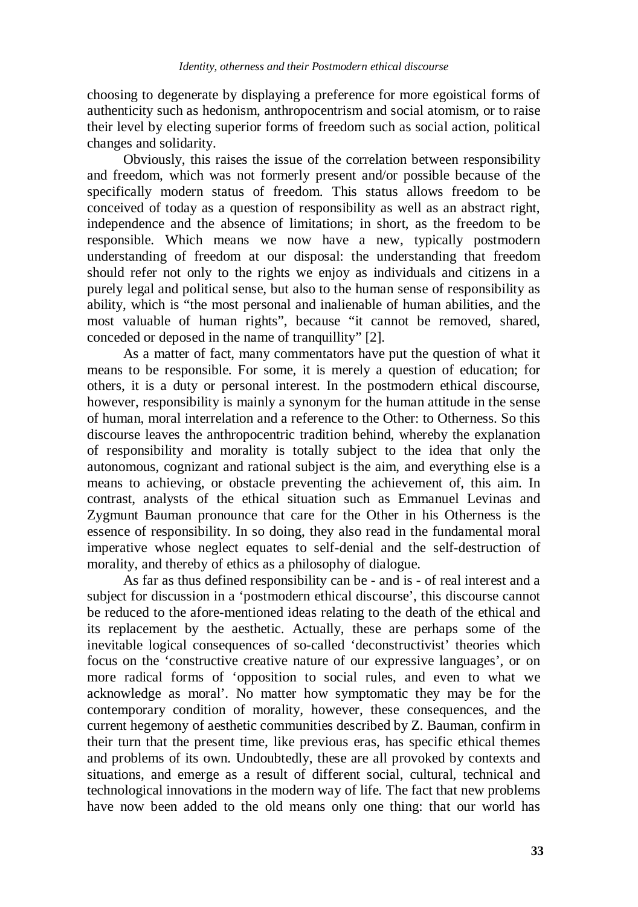choosing to degenerate by displaying a preference for more egoistical forms of authenticity such as hedonism, anthropocentrism and social atomism, or to raise their level by electing superior forms of freedom such as social action, political changes and solidarity.

Obviously, this raises the issue of the correlation between responsibility and freedom, which was not formerly present and/or possible because of the specifically modern status of freedom. This status allows freedom to be conceived of today as a question of responsibility as well as an abstract right, independence and the absence of limitations; in short, as the freedom to be responsible. Which means we now have a new, typically postmodern understanding of freedom at our disposal: the understanding that freedom should refer not only to the rights we enjoy as individuals and citizens in a purely legal and political sense, but also to the human sense of responsibility as ability, which is "the most personal and inalienable of human abilities, and the most valuable of human rights", because "it cannot be removed, shared, conceded or deposed in the name of tranquillity" [2].

As a matter of fact, many commentators have put the question of what it means to be responsible. For some, it is merely a question of education; for others, it is a duty or personal interest. In the postmodern ethical discourse, however, responsibility is mainly a synonym for the human attitude in the sense of human, moral interrelation and a reference to the Other: to Otherness. So this discourse leaves the anthropocentric tradition behind, whereby the explanation of responsibility and morality is totally subject to the idea that only the autonomous, cognizant and rational subject is the aim, and everything else is a means to achieving, or obstacle preventing the achievement of, this aim. In contrast, analysts of the ethical situation such as Emmanuel Levinas and Zygmunt Bauman pronounce that care for the Other in his Otherness is the essence of responsibility. In so doing, they also read in the fundamental moral imperative whose neglect equates to self-denial and the self-destruction of morality, and thereby of ethics as a philosophy of dialogue.

As far as thus defined responsibility can be - and is - of real interest and a subject for discussion in a 'postmodern ethical discourse', this discourse cannot be reduced to the afore-mentioned ideas relating to the death of the ethical and its replacement by the aesthetic. Actually, these are perhaps some of the inevitable logical consequences of so-called 'deconstructivist' theories which focus on the 'constructive creative nature of our expressive languages', or on more radical forms of 'opposition to social rules, and even to what we acknowledge as moral'. No matter how symptomatic they may be for the contemporary condition of morality, however, these consequences, and the current hegemony of aesthetic communities described by Z. Bauman, confirm in their turn that the present time, like previous eras, has specific ethical themes and problems of its own. Undoubtedly, these are all provoked by contexts and situations, and emerge as a result of different social, cultural, technical and technological innovations in the modern way of life. The fact that new problems have now been added to the old means only one thing: that our world has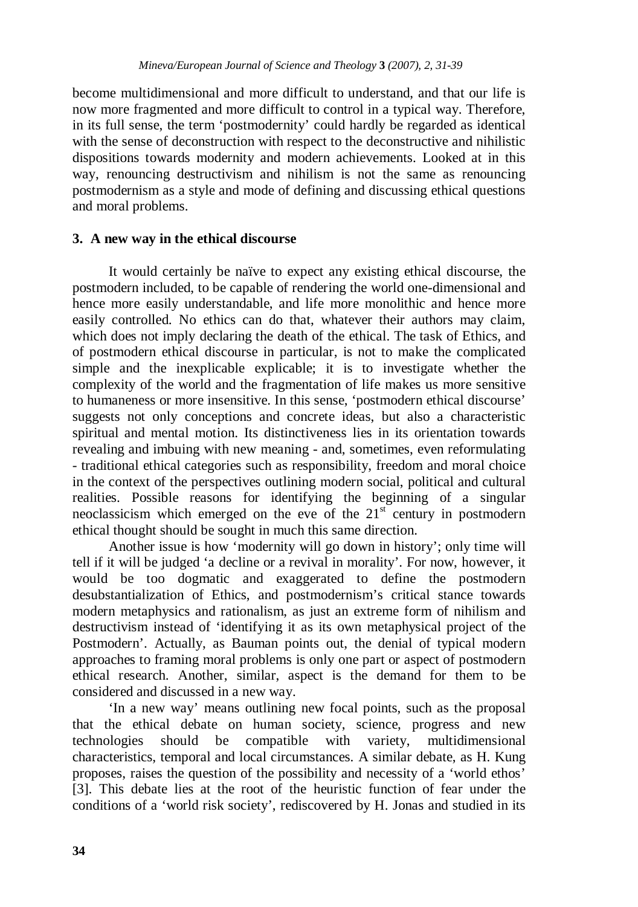become multidimensional and more difficult to understand, and that our life is now more fragmented and more difficult to control in a typical way. Therefore, in its full sense, the term 'postmodernity' could hardly be regarded as identical with the sense of deconstruction with respect to the deconstructive and nihilistic dispositions towards modernity and modern achievements. Looked at in this way, renouncing destructivism and nihilism is not the same as renouncing postmodernism as a style and mode of defining and discussing ethical questions and moral problems.

# **3. A new way in the ethical discourse**

It would certainly be naïve to expect any existing ethical discourse, the postmodern included, to be capable of rendering the world one-dimensional and hence more easily understandable, and life more monolithic and hence more easily controlled. No ethics can do that, whatever their authors may claim, which does not imply declaring the death of the ethical. The task of Ethics, and of postmodern ethical discourse in particular, is not to make the complicated simple and the inexplicable explicable; it is to investigate whether the complexity of the world and the fragmentation of life makes us more sensitive to humaneness or more insensitive. In this sense, 'postmodern ethical discourse' suggests not only conceptions and concrete ideas, but also a characteristic spiritual and mental motion. Its distinctiveness lies in its orientation towards revealing and imbuing with new meaning - and, sometimes, even reformulating - traditional ethical categories such as responsibility, freedom and moral choice in the context of the perspectives outlining modern social, political and cultural realities. Possible reasons for identifying the beginning of a singular neoclassicism which emerged on the eve of the  $21<sup>st</sup>$  century in postmodern ethical thought should be sought in much this same direction.

Another issue is how 'modernity will go down in history'; only time will tell if it will be judged 'a decline or a revival in morality'. For now, however, it would be too dogmatic and exaggerated to define the postmodern desubstantialization of Ethics, and postmodernism's critical stance towards modern metaphysics and rationalism, as just an extreme form of nihilism and destructivism instead of 'identifying it as its own metaphysical project of the Postmodern'. Actually, as Bauman points out, the denial of typical modern approaches to framing moral problems is only one part or aspect of postmodern ethical research. Another, similar, aspect is the demand for them to be considered and discussed in a new way.

'In a new way' means outlining new focal points, such as the proposal that the ethical debate on human society, science, progress and new technologies should be compatible with variety, multidimensional characteristics, temporal and local circumstances. A similar debate, as H. Kung proposes, raises the question of the possibility and necessity of a 'world ethos' [3]. This debate lies at the root of the heuristic function of fear under the conditions of a 'world risk society', rediscovered by H. Jonas and studied in its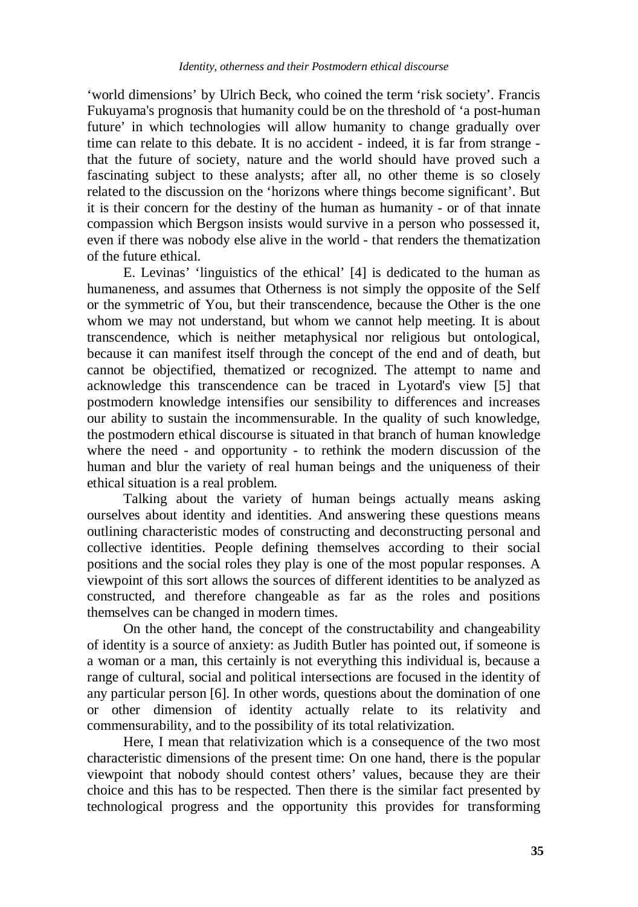'world dimensions' by Ulrich Beck, who coined the term 'risk society'. Francis Fukuyama's prognosis that humanity could be on the threshold of 'a post-human future' in which technologies will allow humanity to change gradually over time can relate to this debate. It is no accident - indeed, it is far from strange that the future of society, nature and the world should have proved such a fascinating subject to these analysts; after all, no other theme is so closely related to the discussion on the 'horizons where things become significant'. But it is their concern for the destiny of the human as humanity - or of that innate compassion which Bergson insists would survive in a person who possessed it, even if there was nobody else alive in the world - that renders the thematization of the future ethical.

E. Levinas' 'linguistics of the ethical' [4] is dedicated to the human as humaneness, and assumes that Otherness is not simply the opposite of the Self or the symmetric of You, but their transcendence, because the Other is the one whom we may not understand, but whom we cannot help meeting. It is about transcendence, which is neither metaphysical nor religious but ontological, because it can manifest itself through the concept of the end and of death, but cannot be objectified, thematized or recognized. The attempt to name and acknowledge this transcendence can be traced in Lyotard's view [5] that postmodern knowledge intensifies our sensibility to differences and increases our ability to sustain the incommensurable. In the quality of such knowledge, the postmodern ethical discourse is situated in that branch of human knowledge where the need - and opportunity - to rethink the modern discussion of the human and blur the variety of real human beings and the uniqueness of their ethical situation is a real problem.

Talking about the variety of human beings actually means asking ourselves about identity and identities. And answering these questions means outlining characteristic modes of constructing and deconstructing personal and collective identities. People defining themselves according to their social positions and the social roles they play is one of the most popular responses. A viewpoint of this sort allows the sources of different identities to be analyzed as constructed, and therefore changeable as far as the roles and positions themselves can be changed in modern times.

On the other hand, the concept of the constructability and changeability of identity is a source of anxiety: as Judith Butler has pointed out, if someone is a woman or a man, this certainly is not everything this individual is, because a range of cultural, social and political intersections are focused in the identity of any particular person [6]. In other words, questions about the domination of one or other dimension of identity actually relate to its relativity and commensurability, and to the possibility of its total relativization.

Here, I mean that relativization which is a consequence of the two most characteristic dimensions of the present time: On one hand, there is the popular viewpoint that nobody should contest others' values, because they are their choice and this has to be respected. Then there is the similar fact presented by technological progress and the opportunity this provides for transforming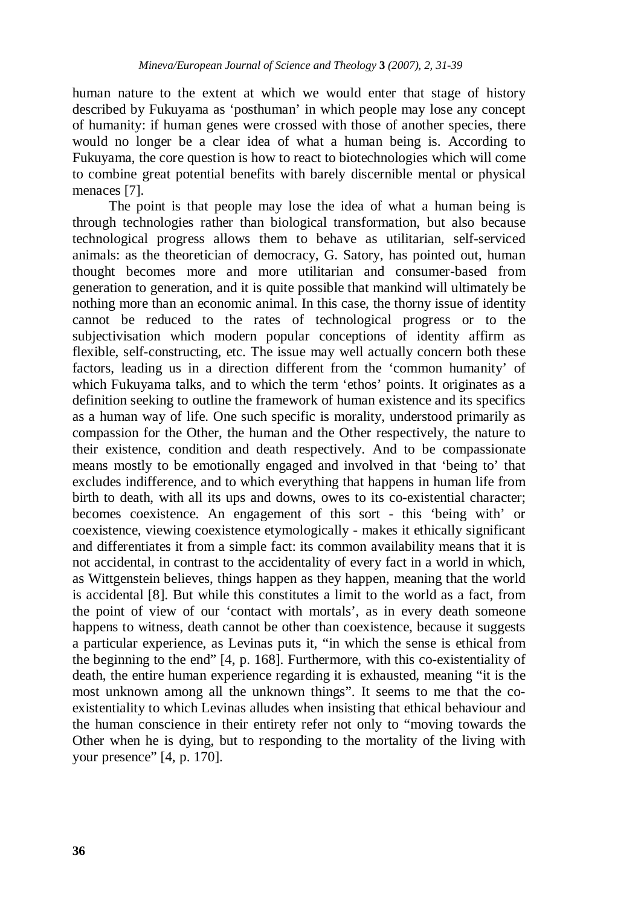human nature to the extent at which we would enter that stage of history described by Fukuyama as 'posthuman' in which people may lose any concept of humanity: if human genes were crossed with those of another species, there would no longer be a clear idea of what a human being is. According to Fukuyama, the core question is how to react to biotechnologies which will come to combine great potential benefits with barely discernible mental or physical menaces [7].

The point is that people may lose the idea of what a human being is through technologies rather than biological transformation, but also because technological progress allows them to behave as utilitarian, self-serviced animals: as the theoretician of democracy, G. Satory, has pointed out, human thought becomes more and more utilitarian and consumer-based from generation to generation, and it is quite possible that mankind will ultimately be nothing more than an economic animal. In this case, the thorny issue of identity cannot be reduced to the rates of technological progress or to the subjectivisation which modern popular conceptions of identity affirm as flexible, self-constructing, etc. The issue may well actually concern both these factors, leading us in a direction different from the 'common humanity' of which Fukuyama talks, and to which the term 'ethos' points. It originates as a definition seeking to outline the framework of human existence and its specifics as a human way of life. One such specific is morality, understood primarily as compassion for the Other, the human and the Other respectively, the nature to their existence, condition and death respectively. And to be compassionate means mostly to be emotionally engaged and involved in that 'being to' that excludes indifference, and to which everything that happens in human life from birth to death, with all its ups and downs, owes to its co-existential character; becomes coexistence. An engagement of this sort - this 'being with' or coexistence, viewing coexistence etymologically - makes it ethically significant and differentiates it from a simple fact: its common availability means that it is not accidental, in contrast to the accidentality of every fact in a world in which, as Wittgenstein believes, things happen as they happen, meaning that the world is accidental [8]. But while this constitutes a limit to the world as a fact, from the point of view of our 'contact with mortals', as in every death someone happens to witness, death cannot be other than coexistence, because it suggests a particular experience, as Levinas puts it, "in which the sense is ethical from the beginning to the end" [4, p. 168]. Furthermore, with this co-existentiality of death, the entire human experience regarding it is exhausted, meaning "it is the most unknown among all the unknown things". It seems to me that the coexistentiality to which Levinas alludes when insisting that ethical behaviour and the human conscience in their entirety refer not only to "moving towards the Other when he is dying, but to responding to the mortality of the living with your presence" [4, p. 170].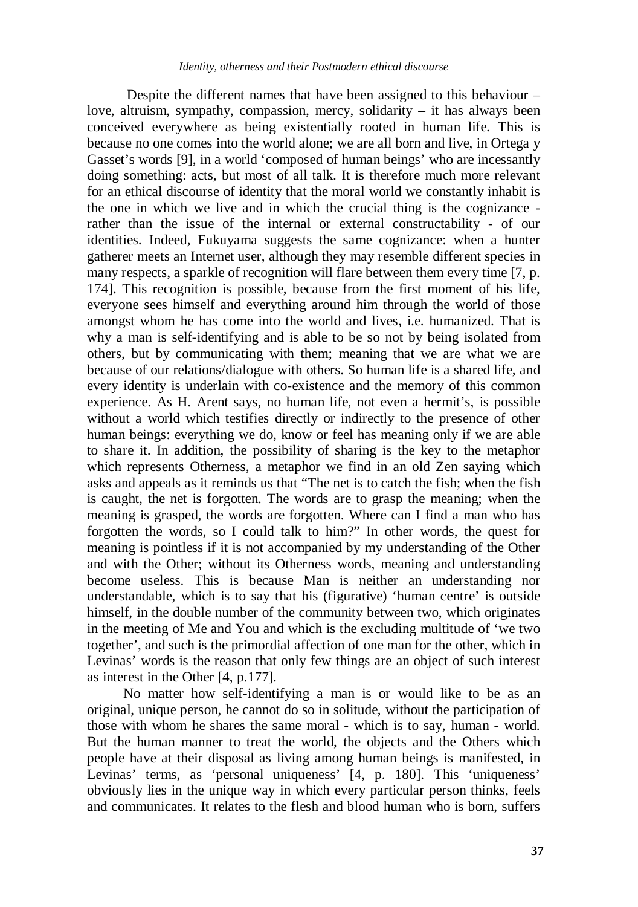Despite the different names that have been assigned to this behaviour – love, altruism, sympathy, compassion, mercy, solidarity – it has always been conceived everywhere as being existentially rooted in human life. This is because no one comes into the world alone; we are all born and live, in Ortega y Gasset's words [9], in a world 'composed of human beings' who are incessantly doing something: acts, but most of all talk. It is therefore much more relevant for an ethical discourse of identity that the moral world we constantly inhabit is the one in which we live and in which the crucial thing is the cognizance rather than the issue of the internal or external constructability - of our identities. Indeed, Fukuyama suggests the same cognizance: when a hunter gatherer meets an Internet user, although they may resemble different species in many respects, a sparkle of recognition will flare between them every time [7, p. 174]. This recognition is possible, because from the first moment of his life, everyone sees himself and everything around him through the world of those amongst whom he has come into the world and lives, i.e. humanized. That is why a man is self-identifying and is able to be so not by being isolated from others, but by communicating with them; meaning that we are what we are because of our relations/dialogue with others. So human life is a shared life, and every identity is underlain with co-existence and the memory of this common experience. As H. Arent says, no human life, not even a hermit's, is possible without a world which testifies directly or indirectly to the presence of other human beings: everything we do, know or feel has meaning only if we are able to share it. In addition, the possibility of sharing is the key to the metaphor which represents Otherness, a metaphor we find in an old Zen saying which asks and appeals as it reminds us that "The net is to catch the fish; when the fish is caught, the net is forgotten. The words are to grasp the meaning; when the meaning is grasped, the words are forgotten. Where can I find a man who has forgotten the words, so I could talk to him?" In other words, the quest for meaning is pointless if it is not accompanied by my understanding of the Other and with the Other; without its Otherness words, meaning and understanding become useless. This is because Man is neither an understanding nor understandable, which is to say that his (figurative) 'human centre' is outside himself, in the double number of the community between two, which originates in the meeting of Me and You and which is the excluding multitude of 'we two together', and such is the primordial affection of one man for the other, which in Levinas' words is the reason that only few things are an object of such interest as interest in the Other [4, p.177].

No matter how self-identifying a man is or would like to be as an original, unique person, he cannot do so in solitude, without the participation of those with whom he shares the same moral - which is to say, human - world. But the human manner to treat the world, the objects and the Others which people have at their disposal as living among human beings is manifested, in Levinas' terms, as 'personal uniqueness' [4, p. 180]. This 'uniqueness' obviously lies in the unique way in which every particular person thinks, feels and communicates. It relates to the flesh and blood human who is born, suffers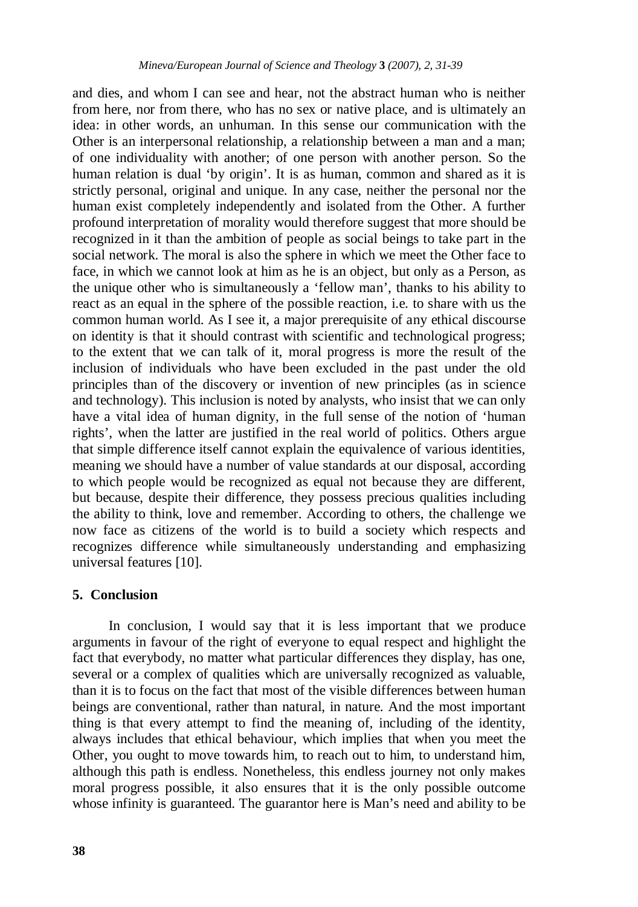and dies, and whom I can see and hear, not the abstract human who is neither from here, nor from there, who has no sex or native place, and is ultimately an idea: in other words, an unhuman. In this sense our communication with the Other is an interpersonal relationship, a relationship between a man and a man; of one individuality with another; of one person with another person. So the human relation is dual 'by origin'. It is as human, common and shared as it is strictly personal, original and unique. In any case, neither the personal nor the human exist completely independently and isolated from the Other. A further profound interpretation of morality would therefore suggest that more should be recognized in it than the ambition of people as social beings to take part in the social network. The moral is also the sphere in which we meet the Other face to face, in which we cannot look at him as he is an object, but only as a Person, as the unique other who is simultaneously a 'fellow man', thanks to his ability to react as an equal in the sphere of the possible reaction, i.e. to share with us the common human world. As I see it, a major prerequisite of any ethical discourse on identity is that it should contrast with scientific and technological progress; to the extent that we can talk of it, moral progress is more the result of the inclusion of individuals who have been excluded in the past under the old principles than of the discovery or invention of new principles (as in science and technology). This inclusion is noted by analysts, who insist that we can only have a vital idea of human dignity, in the full sense of the notion of 'human rights', when the latter are justified in the real world of politics. Others argue that simple difference itself cannot explain the equivalence of various identities, meaning we should have a number of value standards at our disposal, according to which people would be recognized as equal not because they are different, but because, despite their difference, they possess precious qualities including the ability to think, love and remember. According to others, the challenge we now face as citizens of the world is to build a society which respects and recognizes difference while simultaneously understanding and emphasizing universal features [10].

#### **5. Conclusion**

In conclusion, I would say that it is less important that we produce arguments in favour of the right of everyone to equal respect and highlight the fact that everybody, no matter what particular differences they display, has one, several or a complex of qualities which are universally recognized as valuable, than it is to focus on the fact that most of the visible differences between human beings are conventional, rather than natural, in nature. And the most important thing is that every attempt to find the meaning of, including of the identity, always includes that ethical behaviour, which implies that when you meet the Other, you ought to move towards him, to reach out to him, to understand him, although this path is endless. Nonetheless, this endless journey not only makes moral progress possible, it also ensures that it is the only possible outcome whose infinity is guaranteed. The guarantor here is Man's need and ability to be